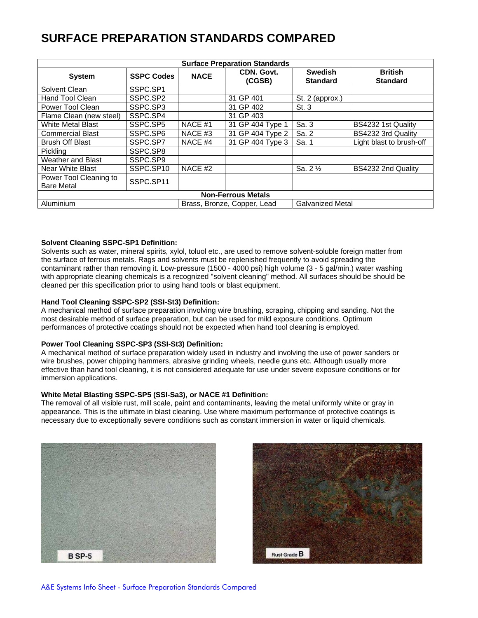# **SURFACE PREPARATION STANDARDS COMPARED**

| <b>Surface Preparation Standards</b> |                   |                             |                      |                                   |                                   |
|--------------------------------------|-------------------|-----------------------------|----------------------|-----------------------------------|-----------------------------------|
| <b>System</b>                        | <b>SSPC Codes</b> | <b>NACE</b>                 | CDN. Govt.<br>(CGSB) | <b>Swedish</b><br><b>Standard</b> | <b>British</b><br><b>Standard</b> |
| Solvent Clean                        | SSPC.SP1          |                             |                      |                                   |                                   |
| Hand Tool Clean                      | SSPC.SP2          |                             | 31 GP 401            | St. 2 (approx.)                   |                                   |
| Power Tool Clean                     | SSPC.SP3          |                             | 31 GP 402            | St.3                              |                                   |
| Flame Clean (new steel)              | SSPC.SP4          |                             | 31 GP 403            |                                   |                                   |
| <b>White Metal Blast</b>             | SSPC.SP5          | NACE #1                     | 31 GP 404 Type 1     | Sa. 3                             | BS4232 1st Quality                |
| <b>Commercial Blast</b>              | SSPC.SP6          | NACE #3                     | 31 GP 404 Type 2     | Sa. 2                             | BS4232 3rd Quality                |
| <b>Brush Off Blast</b>               | SSPC.SP7          | NACE #4                     | 31 GP 404 Type 3     | Sa. 1                             | Light blast to brush-off          |
| Pickling                             | SSPC.SP8          |                             |                      |                                   |                                   |
| <b>Weather and Blast</b>             | SSPC.SP9          |                             |                      |                                   |                                   |
| Near White Blast                     | SSPC.SP10         | NACE #2                     |                      | Sa. $2\frac{1}{2}$                | BS4232 2nd Quality                |
| Power Tool Cleaning to               | SSPC.SP11         |                             |                      |                                   |                                   |
| <b>Bare Metal</b>                    |                   |                             |                      |                                   |                                   |
| <b>Non-Ferrous Metals</b>            |                   |                             |                      |                                   |                                   |
| Aluminium                            |                   | Brass, Bronze, Copper, Lead |                      | <b>Galvanized Metal</b>           |                                   |

## **Solvent Cleaning SSPC-SP1 Definition:**

Solvents such as water, mineral spirits, xylol, toluol etc., are used to remove solvent-soluble foreign matter from the surface of ferrous metals. Rags and solvents must be replenished frequently to avoid spreading the contaminant rather than removing it. Low-pressure (1500 - 4000 psi) high volume (3 - 5 gal/min.) water washing with appropriate cleaning chemicals is a recognized "solvent cleaning" method. All surfaces should be should be cleaned per this specification prior to using hand tools or blast equipment.

## **Hand Tool Cleaning SSPC-SP2 (SSI-St3) Definition:**

A mechanical method of surface preparation involving wire brushing, scraping, chipping and sanding. Not the most desirable method of surface preparation, but can be used for mild exposure conditions. Optimum performances of protective coatings should not be expected when hand tool cleaning is employed.

## **Power Tool Cleaning SSPC-SP3 (SSI-St3) Definition:**

A mechanical method of surface preparation widely used in industry and involving the use of power sanders or wire brushes, power chipping hammers, abrasive grinding wheels, needle guns etc. Although usually more effective than hand tool cleaning, it is not considered adequate for use under severe exposure conditions or for immersion applications.

## **White Metal Blasting SSPC-SP5 (SSI-Sa3), or NACE #1 Definition:**

The removal of all visible rust, mill scale, paint and contaminants, leaving the metal uniformly white or gray in appearance. This is the ultimate in blast cleaning. Use where maximum performance of protective coatings is necessary due to exceptionally severe conditions such as constant immersion in water or liquid chemicals.



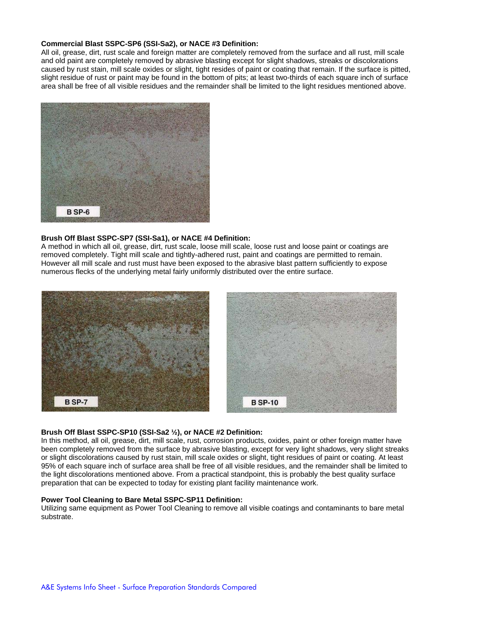## **Commercial Blast SSPC-SP6 (SSI-Sa2), or NACE #3 Definition:**

All oil, grease, dirt, rust scale and foreign matter are completely removed from the surface and all rust, mill scale and old paint are completely removed by abrasive blasting except for slight shadows, streaks or discolorations caused by rust stain, mill scale oxides or slight, tight resides of paint or coating that remain. If the surface is pitted, slight residue of rust or paint may be found in the bottom of pits; at least two-thirds of each square inch of surface area shall be free of all visible residues and the remainder shall be limited to the light residues mentioned above.



## **Brush Off Blast SSPC-SP7 (SSI-Sa1), or NACE #4 Definition:**

A method in which all oil, grease, dirt, rust scale, loose mill scale, loose rust and loose paint or coatings are removed completely. Tight mill scale and tightly-adhered rust, paint and coatings are permitted to remain. However all mill scale and rust must have been exposed to the abrasive blast pattern sufficiently to expose numerous flecks of the underlying metal fairly uniformly distributed over the entire surface.



## **Brush Off Blast SSPC-SP10 (SSI-Sa2 ½), or NACE #2 Definition:**

In this method, all oil, grease, dirt, mill scale, rust, corrosion products, oxides, paint or other foreign matter have been completely removed from the surface by abrasive blasting, except for very light shadows, very slight streaks or slight discolorations caused by rust stain, mill scale oxides or slight, tight residues of paint or coating. At least 95% of each square inch of surface area shall be free of all visible residues, and the remainder shall be limited to the light discolorations mentioned above. From a practical standpoint, this is probably the best quality surface preparation that can be expected to today for existing plant facility maintenance work.

## **Power Tool Cleaning to Bare Metal SSPC-SP11 Definition:**

Utilizing same equipment as Power Tool Cleaning to remove all visible coatings and contaminants to bare metal substrate.